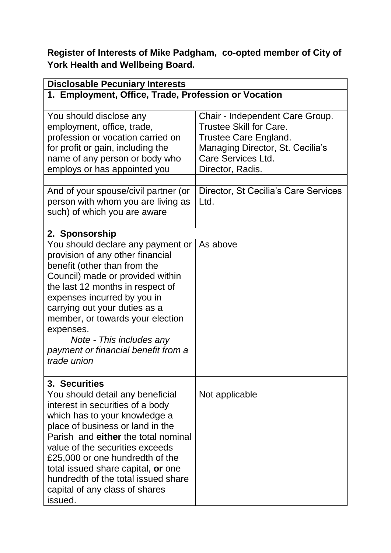**Register of Interests of Mike Padgham, co-opted member of City of York Health and Wellbeing Board.**

| <b>Disclosable Pecuniary Interests</b>               |                                      |  |
|------------------------------------------------------|--------------------------------------|--|
| 1. Employment, Office, Trade, Profession or Vocation |                                      |  |
|                                                      |                                      |  |
| You should disclose any                              | Chair - Independent Care Group.      |  |
| employment, office, trade,                           | <b>Trustee Skill for Care.</b>       |  |
| profession or vocation carried on                    | <b>Trustee Care England.</b>         |  |
| for profit or gain, including the                    | Managing Director, St. Cecilia's     |  |
| name of any person or body who                       | Care Services Ltd.                   |  |
| employs or has appointed you                         | Director, Radis.                     |  |
| And of your spouse/civil partner (or                 | Director, St Cecilia's Care Services |  |
| person with whom you are living as                   | Ltd.                                 |  |
| such) of which you are aware                         |                                      |  |
|                                                      |                                      |  |
| 2. Sponsorship                                       |                                      |  |
| You should declare any payment or                    | As above                             |  |
| provision of any other financial                     |                                      |  |
| benefit (other than from the                         |                                      |  |
| Council) made or provided within                     |                                      |  |
| the last 12 months in respect of                     |                                      |  |
| expenses incurred by you in                          |                                      |  |
| carrying out your duties as a                        |                                      |  |
| member, or towards your election                     |                                      |  |
| expenses.                                            |                                      |  |
| Note - This includes any                             |                                      |  |
| payment or financial benefit from a                  |                                      |  |
| trade union                                          |                                      |  |
|                                                      |                                      |  |
| 3. Securities<br>You should detail any beneficial    | Not applicable                       |  |
| interest in securities of a body                     |                                      |  |
| which has to your knowledge a                        |                                      |  |
| place of business or land in the                     |                                      |  |
| Parish and either the total nominal                  |                                      |  |
| value of the securities exceeds                      |                                      |  |
| £25,000 or one hundredth of the                      |                                      |  |
| total issued share capital, or one                   |                                      |  |
| hundredth of the total issued share                  |                                      |  |
| capital of any class of shares                       |                                      |  |
| issued.                                              |                                      |  |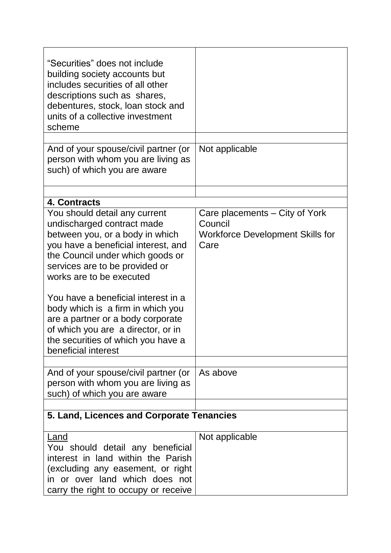| "Securities" does not include<br>building society accounts but<br>includes securities of all other<br>descriptions such as shares,<br>debentures, stock, loan stock and<br>units of a collective investment<br>scheme                                                                                                                                                                                                                                       |                                                                                              |
|-------------------------------------------------------------------------------------------------------------------------------------------------------------------------------------------------------------------------------------------------------------------------------------------------------------------------------------------------------------------------------------------------------------------------------------------------------------|----------------------------------------------------------------------------------------------|
| And of your spouse/civil partner (or<br>person with whom you are living as<br>such) of which you are aware                                                                                                                                                                                                                                                                                                                                                  | Not applicable                                                                               |
| 4. Contracts                                                                                                                                                                                                                                                                                                                                                                                                                                                |                                                                                              |
| You should detail any current<br>undischarged contract made<br>between you, or a body in which<br>you have a beneficial interest, and<br>the Council under which goods or<br>services are to be provided or<br>works are to be executed<br>You have a beneficial interest in a<br>body which is a firm in which you<br>are a partner or a body corporate<br>of which you are a director, or in<br>the securities of which you have a<br>beneficial interest | Care placements - City of York<br>Council<br><b>Workforce Development Skills for</b><br>Care |
| And of your spouse/civil partner (or<br>person with whom you are living as<br>such) of which you are aware                                                                                                                                                                                                                                                                                                                                                  | As above                                                                                     |
| 5. Land, Licences and Corporate Tenancies                                                                                                                                                                                                                                                                                                                                                                                                                   |                                                                                              |
| <u>Land</u><br>You should detail any beneficial<br>interest in land within the Parish<br>(excluding any easement, or right<br>in or over land which does not<br>carry the right to occupy or receive                                                                                                                                                                                                                                                        | Not applicable                                                                               |